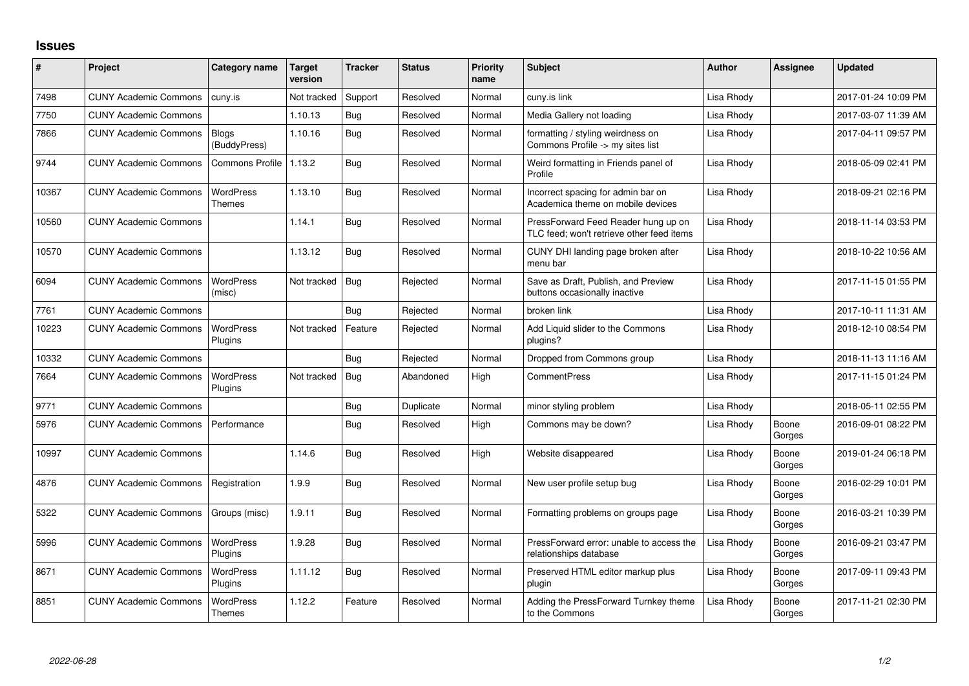## **Issues**

| ∦     | Project                      | <b>Category name</b>              | Target<br>version | <b>Tracker</b> | <b>Status</b> | <b>Priority</b><br>name | Subject                                                                          | <b>Author</b> | <b>Assignee</b> | <b>Updated</b>      |
|-------|------------------------------|-----------------------------------|-------------------|----------------|---------------|-------------------------|----------------------------------------------------------------------------------|---------------|-----------------|---------------------|
| 7498  | <b>CUNY Academic Commons</b> | cuny.is                           | Not tracked       | Support        | Resolved      | Normal                  | cuny.is link                                                                     | Lisa Rhody    |                 | 2017-01-24 10:09 PM |
| 7750  | <b>CUNY Academic Commons</b> |                                   | 1.10.13           | Bug            | Resolved      | Normal                  | Media Gallery not loading                                                        | Lisa Rhody    |                 | 2017-03-07 11:39 AM |
| 7866  | <b>CUNY Academic Commons</b> | Blogs<br>(BuddyPress)             | 1.10.16           | Bug            | Resolved      | Normal                  | formatting / styling weirdness on<br>Commons Profile -> my sites list            | Lisa Rhody    |                 | 2017-04-11 09:57 PM |
| 9744  | <b>CUNY Academic Commons</b> | <b>Commons Profile</b>            | 1.13.2            | Bug            | Resolved      | Normal                  | Weird formatting in Friends panel of<br>Profile                                  | Lisa Rhody    |                 | 2018-05-09 02:41 PM |
| 10367 | <b>CUNY Academic Commons</b> | <b>WordPress</b><br><b>Themes</b> | 1.13.10           | Bug            | Resolved      | Normal                  | Incorrect spacing for admin bar on<br>Academica theme on mobile devices          | Lisa Rhody    |                 | 2018-09-21 02:16 PM |
| 10560 | <b>CUNY Academic Commons</b> |                                   | 1.14.1            | Bug            | Resolved      | Normal                  | PressForward Feed Reader hung up on<br>TLC feed; won't retrieve other feed items | Lisa Rhody    |                 | 2018-11-14 03:53 PM |
| 10570 | <b>CUNY Academic Commons</b> |                                   | 1.13.12           | Bug            | Resolved      | Normal                  | CUNY DHI landing page broken after<br>menu bar                                   | Lisa Rhody    |                 | 2018-10-22 10:56 AM |
| 6094  | <b>CUNY Academic Commons</b> | <b>WordPress</b><br>(misc)        | Not tracked       | Bug            | Rejected      | Normal                  | Save as Draft, Publish, and Preview<br>buttons occasionally inactive             | Lisa Rhody    |                 | 2017-11-15 01:55 PM |
| 7761  | <b>CUNY Academic Commons</b> |                                   |                   | Bug            | Rejected      | Normal                  | broken link                                                                      | Lisa Rhody    |                 | 2017-10-11 11:31 AM |
| 10223 | <b>CUNY Academic Commons</b> | <b>WordPress</b><br>Plugins       | Not tracked       | Feature        | Rejected      | Normal                  | Add Liquid slider to the Commons<br>plugins?                                     | Lisa Rhody    |                 | 2018-12-10 08:54 PM |
| 10332 | <b>CUNY Academic Commons</b> |                                   |                   | Bug            | Rejected      | Normal                  | Dropped from Commons group                                                       | Lisa Rhody    |                 | 2018-11-13 11:16 AM |
| 7664  | <b>CUNY Academic Commons</b> | <b>WordPress</b><br>Plugins       | Not tracked       | Bug            | Abandoned     | High                    | <b>CommentPress</b>                                                              | Lisa Rhody    |                 | 2017-11-15 01:24 PM |
| 9771  | <b>CUNY Academic Commons</b> |                                   |                   | Bug            | Duplicate     | Normal                  | minor styling problem                                                            | Lisa Rhody    |                 | 2018-05-11 02:55 PM |
| 5976  | <b>CUNY Academic Commons</b> | Performance                       |                   | Bug            | Resolved      | High                    | Commons may be down?                                                             | Lisa Rhody    | Boone<br>Gorges | 2016-09-01 08:22 PM |
| 10997 | <b>CUNY Academic Commons</b> |                                   | 1.14.6            | Bug            | Resolved      | High                    | Website disappeared                                                              | Lisa Rhody    | Boone<br>Gorges | 2019-01-24 06:18 PM |
| 4876  | <b>CUNY Academic Commons</b> | Registration                      | 1.9.9             | <b>Bug</b>     | Resolved      | Normal                  | New user profile setup bug                                                       | Lisa Rhody    | Boone<br>Gorges | 2016-02-29 10:01 PM |
| 5322  | <b>CUNY Academic Commons</b> | Groups (misc)                     | 1.9.11            | Bug            | Resolved      | Normal                  | Formatting problems on groups page                                               | Lisa Rhody    | Boone<br>Gorges | 2016-03-21 10:39 PM |
| 5996  | <b>CUNY Academic Commons</b> | <b>WordPress</b><br>Plugins       | 1.9.28            | Bug            | Resolved      | Normal                  | PressForward error: unable to access the<br>relationships database               | Lisa Rhody    | Boone<br>Gorges | 2016-09-21 03:47 PM |
| 8671  | <b>CUNY Academic Commons</b> | <b>WordPress</b><br>Plugins       | 1.11.12           | Bug            | Resolved      | Normal                  | Preserved HTML editor markup plus<br>plugin                                      | Lisa Rhody    | Boone<br>Gorges | 2017-09-11 09:43 PM |
| 8851  | <b>CUNY Academic Commons</b> | <b>WordPress</b><br>Themes        | 1.12.2            | Feature        | Resolved      | Normal                  | Adding the PressForward Turnkey theme<br>to the Commons                          | Lisa Rhody    | Boone<br>Gorges | 2017-11-21 02:30 PM |